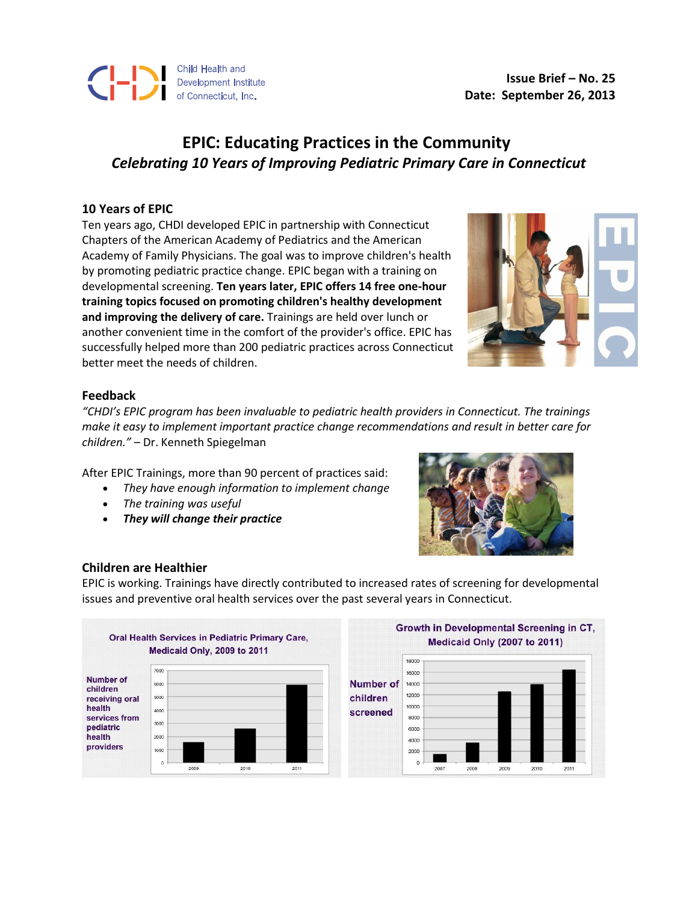

**Issue Brief – No. 25 Date: September 26, 2013**

# **EPIC: Educating Practices in the Community** *Celebrating 10 Years of Improving Pediatric Primary Care in Connecticut*

### **10 Years of EPIC**

Ten years ago, CHDI developed EPIC in partnership with Connecticut Chapters of the American Academy of Pediatrics and the American Academy of Family Physicians. The goal was to improve children's health by promoting pediatric practice change. EPIC began with a training on developmental screening. **Ten years later, EPIC offers 14 free one-hour training topics focused on promoting children's healthy development and improving the delivery of care.** Trainings are held over lunch or another convenient time in the comfort of the provider's office. EPIC has successfully helped more than 200 pediatric practices across Connecticut better meet the needs of children.



#### **Feedback**

*"CHDI's EPIC program has been invaluable to pediatric health providers in Connecticut. The trainings make it easy to implement important practice change recommendations and result in better care for children."* – Dr. Kenneth Spiegelman

After EPIC Trainings, more than 90 percent of practices said:

- *They have enough information to implement change*
- *The training was useful*
- *They will change their practice*



## **Children are Healthier**

EPIC is working. Trainings have directly contributed to increased rates of screening for developmental issues and preventive oral health services over the past several years in Connecticut.